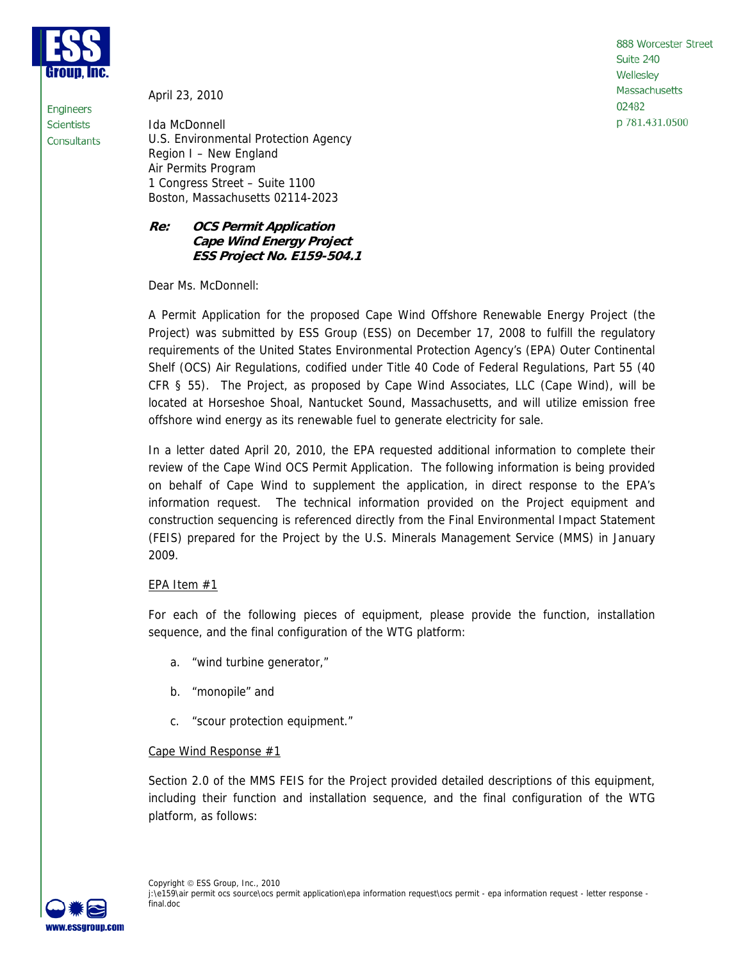

Engineers

**Scientists** Consultants April 23, 2010

Ida McDonnell U.S. Environmental Protection Agency Region I – New England Air Permits Program 1 Congress Street – Suite 1100 Boston, Massachusetts 02114-2023

## **Re: OCS Permit Application Cape Wind Energy Project ESS Project No. E159-504.1**

Dear Ms. McDonnell:

A Permit Application for the proposed Cape Wind Offshore Renewable Energy Project (the Project) was submitted by ESS Group (ESS) on December 17, 2008 to fulfill the regulatory requirements of the United States Environmental Protection Agency's (EPA) Outer Continental Shelf (OCS) Air Regulations, codified under Title 40 Code of Federal Regulations, Part 55 (40 CFR § 55). The Project, as proposed by Cape Wind Associates, LLC (Cape Wind), will be located at Horseshoe Shoal, Nantucket Sound, Massachusetts, and will utilize emission free offshore wind energy as its renewable fuel to generate electricity for sale.

In a letter dated April 20, 2010, the EPA requested additional information to complete their review of the Cape Wind OCS Permit Application. The following information is being provided on behalf of Cape Wind to supplement the application, in direct response to the EPA's information request. The technical information provided on the Project equipment and construction sequencing is referenced directly from the Final Environmental Impact Statement (FEIS) prepared for the Project by the U.S. Minerals Management Service (MMS) in January 2009.

# EPA Item  $#1$

For each of the following pieces of equipment, please provide the function, installation sequence, and the final configuration of the WTG platform:

- a. "wind turbine generator,"
- b. "monopile" and
- c. "scour protection equipment."

## Cape Wind Response #1

Section 2.0 of the MMS FEIS for the Project provided detailed descriptions of this equipment, including their function and installation sequence, and the final configuration of the WTG platform, as follows:

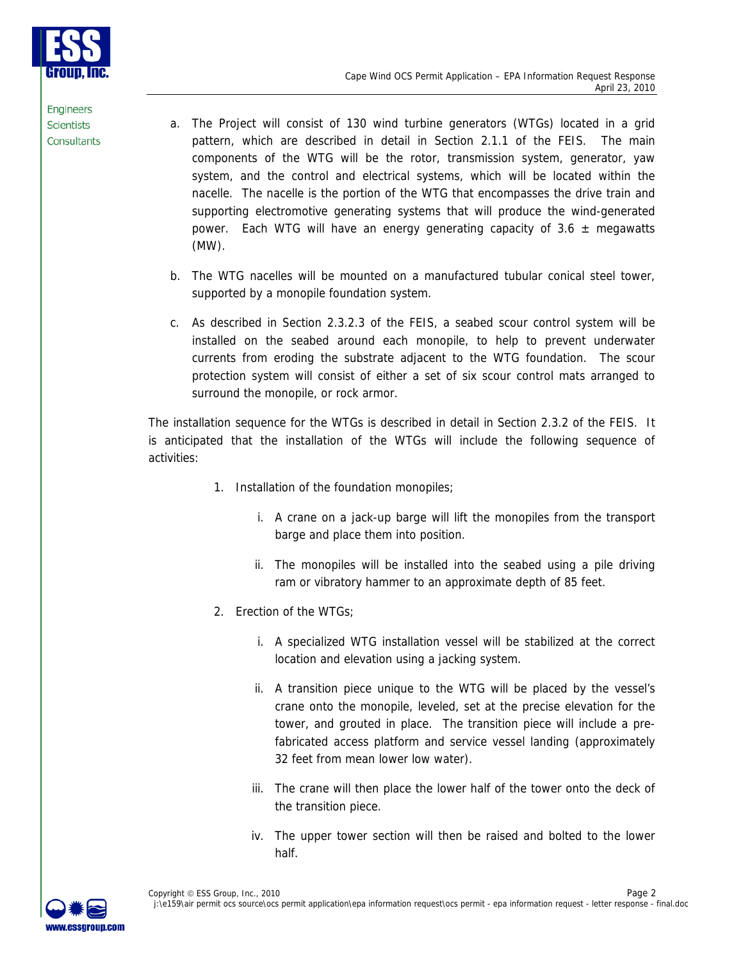

- a. The Project will consist of 130 wind turbine generators (WTGs) located in a grid pattern, which are described in detail in Section 2.1.1 of the FEIS. The main components of the WTG will be the rotor, transmission system, generator, yaw system, and the control and electrical systems, which will be located within the nacelle. The nacelle is the portion of the WTG that encompasses the drive train and supporting electromotive generating systems that will produce the wind-generated power. Each WTG will have an energy generating capacity of  $3.6 \pm$  megawatts (MW).
- b. The WTG nacelles will be mounted on a manufactured tubular conical steel tower, supported by a monopile foundation system.
- c. As described in Section 2.3.2.3 of the FEIS, a seabed scour control system will be installed on the seabed around each monopile, to help to prevent underwater currents from eroding the substrate adjacent to the WTG foundation. The scour protection system will consist of either a set of six scour control mats arranged to surround the monopile, or rock armor.

The installation sequence for the WTGs is described in detail in Section 2.3.2 of the FEIS. It is anticipated that the installation of the WTGs will include the following sequence of activities:

- 1. Installation of the foundation monopiles;
	- i. A crane on a jack-up barge will lift the monopiles from the transport barge and place them into position.
	- ii. The monopiles will be installed into the seabed using a pile driving ram or vibratory hammer to an approximate depth of 85 feet.
- 2. Erection of the WTGs:
	- i. A specialized WTG installation vessel will be stabilized at the correct location and elevation using a jacking system.
	- ii. A transition piece unique to the WTG will be placed by the vessel's crane onto the monopile, leveled, set at the precise elevation for the tower, and grouted in place. The transition piece will include a prefabricated access platform and service vessel landing (approximately 32 feet from mean lower low water).
	- iii. The crane will then place the lower half of the tower onto the deck of the transition piece.
	- iv. The upper tower section will then be raised and bolted to the lower half.

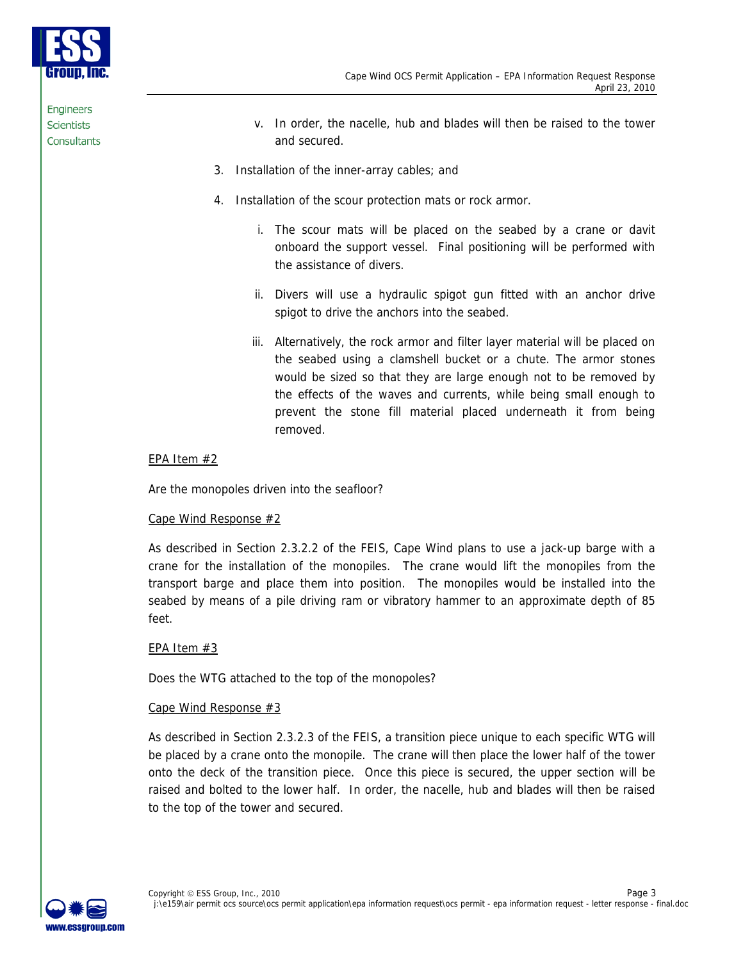

- v. In order, the nacelle, hub and blades will then be raised to the tower and secured.
- 3. Installation of the inner-array cables; and
- 4. Installation of the scour protection mats or rock armor.
	- i. The scour mats will be placed on the seabed by a crane or davit onboard the support vessel. Final positioning will be performed with the assistance of divers.
	- ii. Divers will use a hydraulic spigot gun fitted with an anchor drive spigot to drive the anchors into the seabed.
	- iii. Alternatively, the rock armor and filter layer material will be placed on the seabed using a clamshell bucket or a chute. The armor stones would be sized so that they are large enough not to be removed by the effects of the waves and currents, while being small enough to prevent the stone fill material placed underneath it from being removed.

## EPA Item #2

Are the monopoles driven into the seafloor?

## Cape Wind Response #2

As described in Section 2.3.2.2 of the FEIS, Cape Wind plans to use a jack-up barge with a crane for the installation of the monopiles. The crane would lift the monopiles from the transport barge and place them into position. The monopiles would be installed into the seabed by means of a pile driving ram or vibratory hammer to an approximate depth of 85 feet.

## EPA Item #3

Does the WTG attached to the top of the monopoles?

## Cape Wind Response #3

As described in Section 2.3.2.3 of the FEIS, a transition piece unique to each specific WTG will be placed by a crane onto the monopile. The crane will then place the lower half of the tower onto the deck of the transition piece. Once this piece is secured, the upper section will be raised and bolted to the lower half. In order, the nacelle, hub and blades will then be raised to the top of the tower and secured.

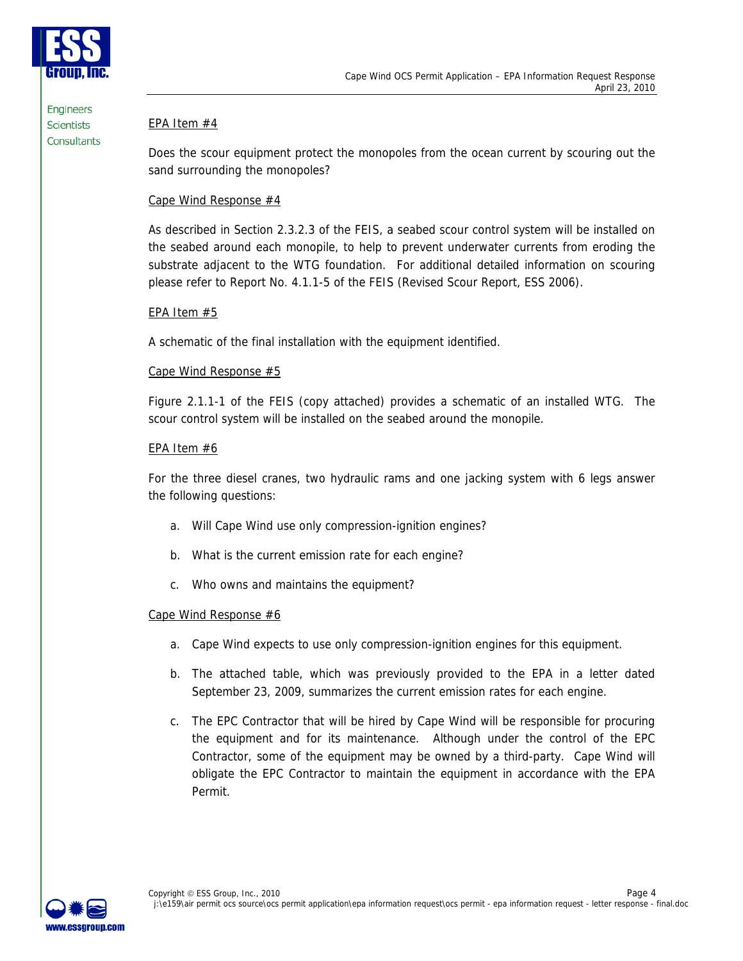

## EPA Item #4

Does the scour equipment protect the monopoles from the ocean current by scouring out the sand surrounding the monopoles?

## Cape Wind Response #4

As described in Section 2.3.2.3 of the FEIS, a seabed scour control system will be installed on the seabed around each monopile, to help to prevent underwater currents from eroding the substrate adjacent to the WTG foundation. For additional detailed information on scouring please refer to Report No. 4.1.1-5 of the FEIS (Revised Scour Report, ESS 2006).

## EPA Item #5

A schematic of the final installation with the equipment identified.

## Cape Wind Response #5

Figure 2.1.1-1 of the FEIS (copy attached) provides a schematic of an installed WTG. The scour control system will be installed on the seabed around the monopile.

## EPA Item #6

For the three diesel cranes, two hydraulic rams and one jacking system with 6 legs answer the following questions:

- a. Will Cape Wind use only compression-ignition engines?
- b. What is the current emission rate for each engine?
- c. Who owns and maintains the equipment?

## Cape Wind Response #6

- a. Cape Wind expects to use only compression-ignition engines for this equipment.
- b. The attached table, which was previously provided to the EPA in a letter dated September 23, 2009, summarizes the current emission rates for each engine.
- c. The EPC Contractor that will be hired by Cape Wind will be responsible for procuring the equipment and for its maintenance. Although under the control of the EPC Contractor, some of the equipment may be owned by a third-party. Cape Wind will obligate the EPC Contractor to maintain the equipment in accordance with the EPA Permit.

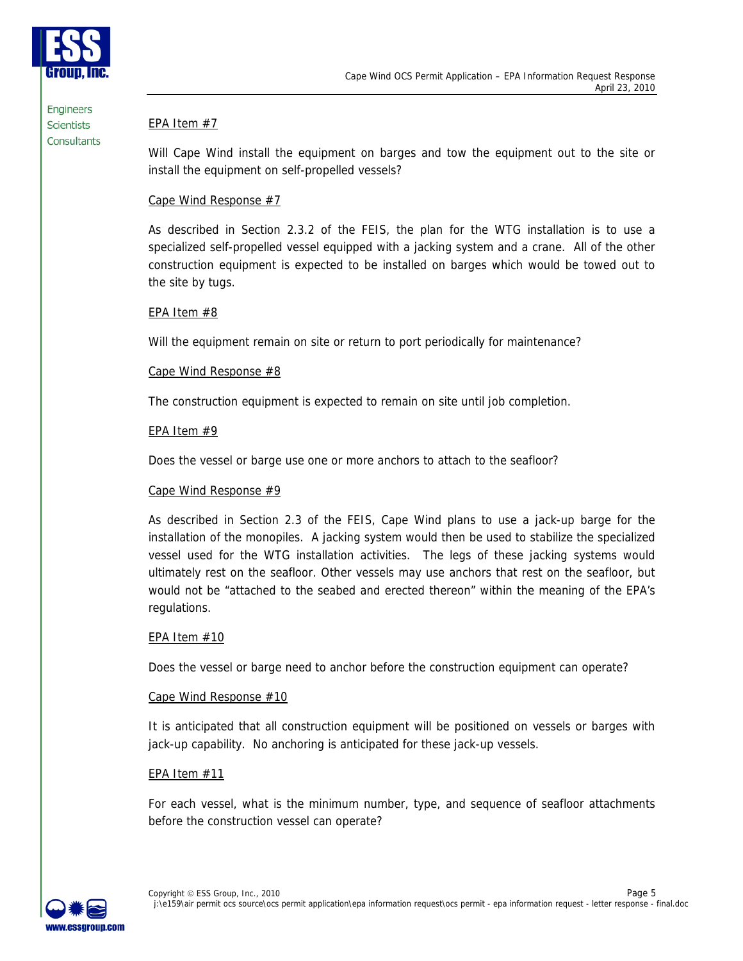

## EPA Item #7

Will Cape Wind install the equipment on barges and tow the equipment out to the site or install the equipment on self-propelled vessels?

## Cape Wind Response #7

As described in Section 2.3.2 of the FEIS, the plan for the WTG installation is to use a specialized self-propelled vessel equipped with a jacking system and a crane. All of the other construction equipment is expected to be installed on barges which would be towed out to the site by tugs.

## EPA Item #8

Will the equipment remain on site or return to port periodically for maintenance?

## Cape Wind Response #8

The construction equipment is expected to remain on site until job completion.

## EPA Item #9

Does the vessel or barge use one or more anchors to attach to the seafloor?

## Cape Wind Response #9

As described in Section 2.3 of the FEIS, Cape Wind plans to use a jack-up barge for the installation of the monopiles. A jacking system would then be used to stabilize the specialized vessel used for the WTG installation activities. The legs of these jacking systems would ultimately rest on the seafloor. Other vessels may use anchors that rest on the seafloor, but would not be "attached to the seabed and erected thereon" within the meaning of the EPA's regulations.

## EPA Item #10

Does the vessel or barge need to anchor before the construction equipment can operate?

## Cape Wind Response #10

It is anticipated that all construction equipment will be positioned on vessels or barges with jack-up capability. No anchoring is anticipated for these jack-up vessels.

## EPA Item #11

For each vessel, what is the minimum number, type, and sequence of seafloor attachments before the construction vessel can operate?

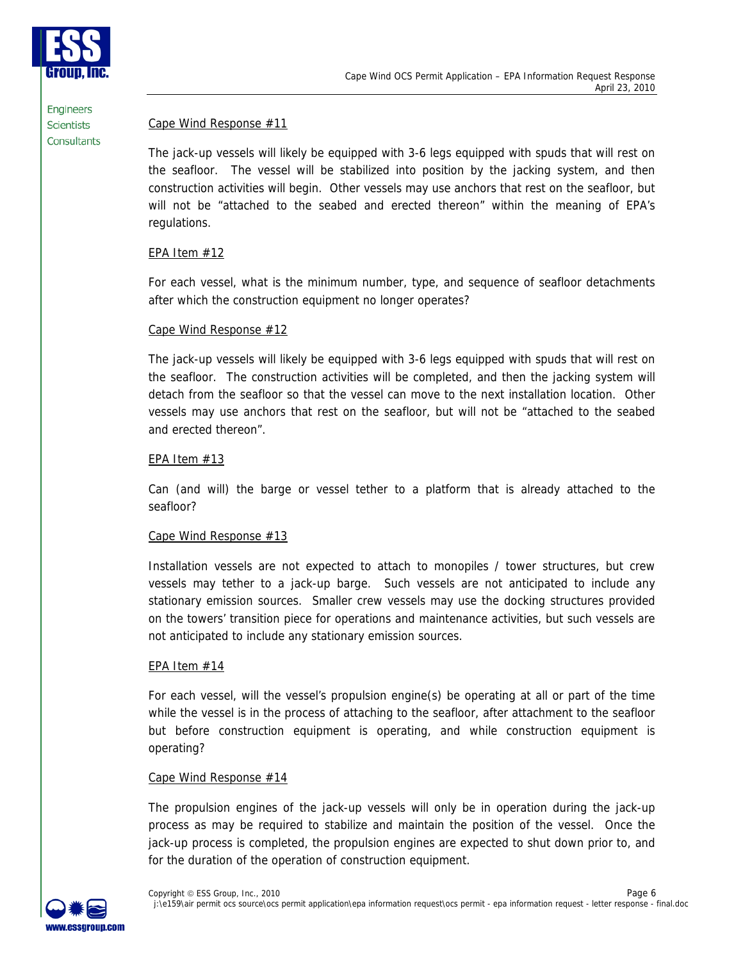

## Cape Wind Response #11

The jack-up vessels will likely be equipped with 3-6 legs equipped with spuds that will rest on the seafloor. The vessel will be stabilized into position by the jacking system, and then construction activities will begin. Other vessels may use anchors that rest on the seafloor, but will not be "attached to the seabed and erected thereon" within the meaning of EPA's regulations.

## EPA Item #12

For each vessel, what is the minimum number, type, and sequence of seafloor detachments after which the construction equipment no longer operates?

## Cape Wind Response #12

The jack-up vessels will likely be equipped with 3-6 legs equipped with spuds that will rest on the seafloor. The construction activities will be completed, and then the jacking system will detach from the seafloor so that the vessel can move to the next installation location. Other vessels may use anchors that rest on the seafloor, but will not be "attached to the seabed and erected thereon".

## EPA Item #13

Can (and will) the barge or vessel tether to a platform that is already attached to the seafloor?

## Cape Wind Response #13

Installation vessels are not expected to attach to monopiles / tower structures, but crew vessels may tether to a jack-up barge. Such vessels are not anticipated to include any stationary emission sources. Smaller crew vessels may use the docking structures provided on the towers' transition piece for operations and maintenance activities, but such vessels are not anticipated to include any stationary emission sources.

## EPA Item #14

For each vessel, will the vessel's propulsion engine(s) be operating at all or part of the time while the vessel is in the process of attaching to the seafloor, after attachment to the seafloor but before construction equipment is operating, and while construction equipment is operating?

## Cape Wind Response #14

The propulsion engines of the jack-up vessels will only be in operation during the jack-up process as may be required to stabilize and maintain the position of the vessel. Once the jack-up process is completed, the propulsion engines are expected to shut down prior to, and for the duration of the operation of construction equipment.

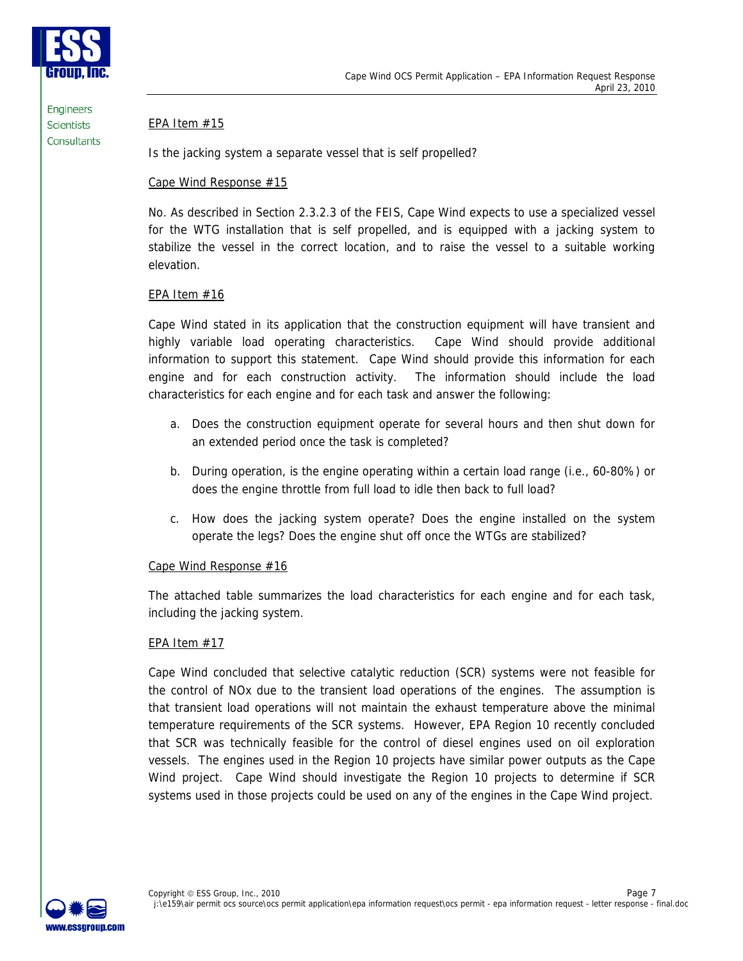

## EPA Item #15

Is the jacking system a separate vessel that is self propelled?

## Cape Wind Response #15

No. As described in Section 2.3.2.3 of the FEIS, Cape Wind expects to use a specialized vessel for the WTG installation that is self propelled, and is equipped with a jacking system to stabilize the vessel in the correct location, and to raise the vessel to a suitable working elevation.

## EPA Item #16

Cape Wind stated in its application that the construction equipment will have transient and highly variable load operating characteristics. Cape Wind should provide additional information to support this statement. Cape Wind should provide this information for each engine and for each construction activity. The information should include the load characteristics for each engine and for each task and answer the following:

- a. Does the construction equipment operate for several hours and then shut down for an extended period once the task is completed?
- b. During operation, is the engine operating within a certain load range (i.e., 60-80%) or does the engine throttle from full load to idle then back to full load?
- c. How does the jacking system operate? Does the engine installed on the system operate the legs? Does the engine shut off once the WTGs are stabilized?

## Cape Wind Response #16

The attached table summarizes the load characteristics for each engine and for each task, including the jacking system.

## EPA Item #17

Cape Wind concluded that selective catalytic reduction (SCR) systems were not feasible for the control of NOx due to the transient load operations of the engines. The assumption is that transient load operations will not maintain the exhaust temperature above the minimal temperature requirements of the SCR systems. However, EPA Region 10 recently concluded that SCR was technically feasible for the control of diesel engines used on oil exploration vessels. The engines used in the Region 10 projects have similar power outputs as the Cape Wind project. Cape Wind should investigate the Region 10 projects to determine if SCR systems used in those projects could be used on any of the engines in the Cape Wind project.

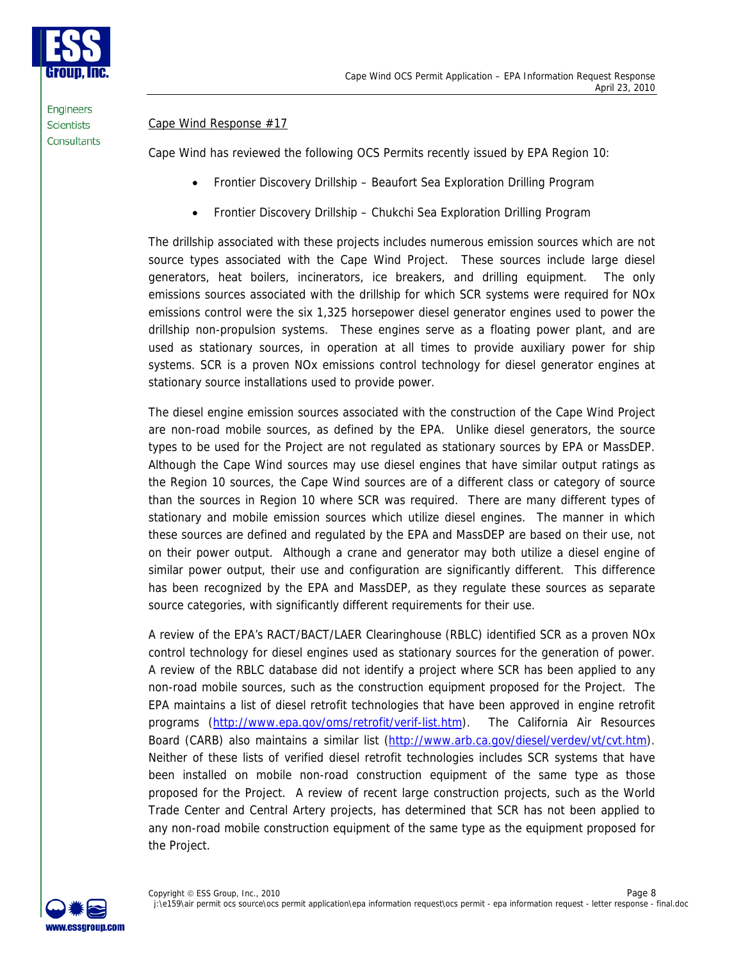

## Cape Wind Response #17

Cape Wind has reviewed the following OCS Permits recently issued by EPA Region 10:

- Frontier Discovery Drillship Beaufort Sea Exploration Drilling Program
- Frontier Discovery Drillship Chukchi Sea Exploration Drilling Program

The drillship associated with these projects includes numerous emission sources which are not source types associated with the Cape Wind Project. These sources include large diesel generators, heat boilers, incinerators, ice breakers, and drilling equipment. The only emissions sources associated with the drillship for which SCR systems were required for NOx emissions control were the six 1,325 horsepower diesel generator engines used to power the drillship non-propulsion systems. These engines serve as a floating power plant, and are used as stationary sources, in operation at all times to provide auxiliary power for ship systems. SCR is a proven NOx emissions control technology for diesel generator engines at stationary source installations used to provide power.

The diesel engine emission sources associated with the construction of the Cape Wind Project are non-road mobile sources, as defined by the EPA. Unlike diesel generators, the source types to be used for the Project are not regulated as stationary sources by EPA or MassDEP. Although the Cape Wind sources may use diesel engines that have similar output ratings as the Region 10 sources, the Cape Wind sources are of a different class or category of source than the sources in Region 10 where SCR was required. There are many different types of stationary and mobile emission sources which utilize diesel engines. The manner in which these sources are defined and regulated by the EPA and MassDEP are based on their use, not on their power output. Although a crane and generator may both utilize a diesel engine of similar power output, their use and configuration are significantly different. This difference has been recognized by the EPA and MassDEP, as they regulate these sources as separate source categories, with significantly different requirements for their use.

A review of the EPA's RACT/BACT/LAER Clearinghouse (RBLC) identified SCR as a proven NOx control technology for diesel engines used as stationary sources for the generation of power. A review of the RBLC database did not identify a project where SCR has been applied to any non-road mobile sources, such as the construction equipment proposed for the Project. The EPA maintains a list of diesel retrofit technologies that have been approved in engine retrofit programs (http://www.epa.gov/oms/retrofit/verif-list.htm). The California Air Resources Board (CARB) also maintains a similar list (http://www.arb.ca.gov/diesel/verdev/vt/cvt.htm). Neither of these lists of verified diesel retrofit technologies includes SCR systems that have been installed on mobile non-road construction equipment of the same type as those proposed for the Project. A review of recent large construction projects, such as the World Trade Center and Central Artery projects, has determined that SCR has not been applied to any non-road mobile construction equipment of the same type as the equipment proposed for the Project.

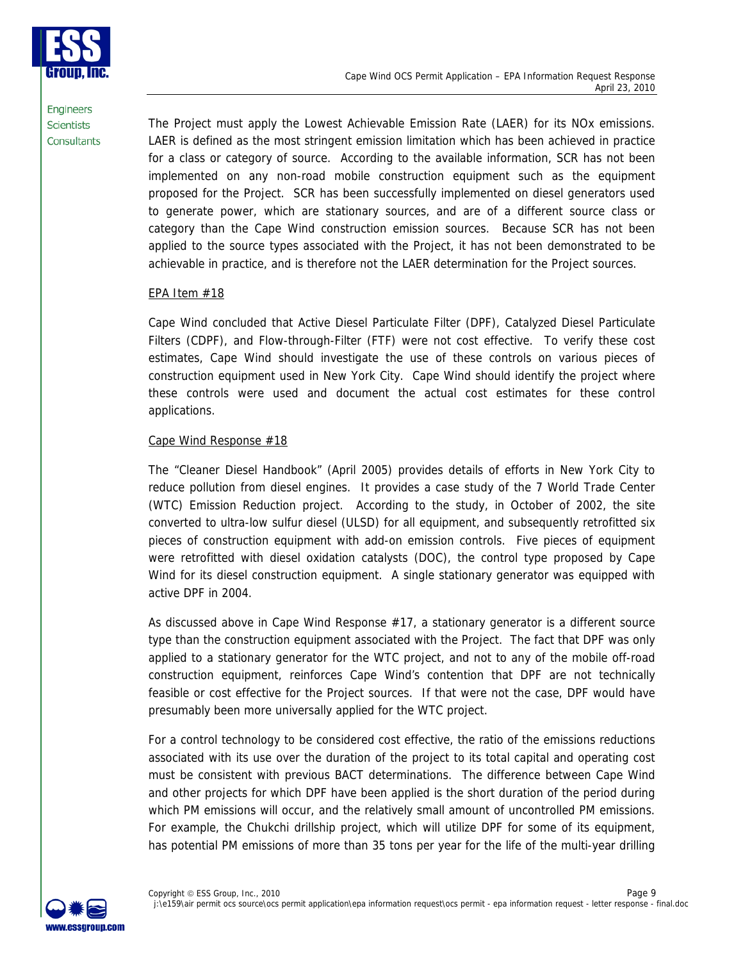Cape Wind OCS Permit Application – EPA Information Request Response April 23, 2010



**Engineers Scientists** Consultants

The Project must apply the Lowest Achievable Emission Rate (LAER) for its NOx emissions. LAER is defined as the most stringent emission limitation which has been achieved in practice for a class or category of source. According to the available information, SCR has not been implemented on any non-road mobile construction equipment such as the equipment proposed for the Project. SCR has been successfully implemented on diesel generators used to generate power, which are stationary sources, and are of a different source class or category than the Cape Wind construction emission sources. Because SCR has not been applied to the source types associated with the Project, it has not been demonstrated to be achievable in practice, and is therefore not the LAER determination for the Project sources.

## EPA Item #18

Cape Wind concluded that Active Diesel Particulate Filter (DPF), Catalyzed Diesel Particulate Filters (CDPF), and Flow-through-Filter (FTF) were not cost effective. To verify these cost estimates, Cape Wind should investigate the use of these controls on various pieces of construction equipment used in New York City. Cape Wind should identify the project where these controls were used and document the actual cost estimates for these control applications.

## Cape Wind Response #18

The "Cleaner Diesel Handbook" (April 2005) provides details of efforts in New York City to reduce pollution from diesel engines. It provides a case study of the 7 World Trade Center (WTC) Emission Reduction project. According to the study, in October of 2002, the site converted to ultra-low sulfur diesel (ULSD) for all equipment, and subsequently retrofitted six pieces of construction equipment with add-on emission controls. Five pieces of equipment were retrofitted with diesel oxidation catalysts (DOC), the control type proposed by Cape Wind for its diesel construction equipment. A single stationary generator was equipped with active DPF in 2004.

As discussed above in Cape Wind Response #17, a stationary generator is a different source type than the construction equipment associated with the Project. The fact that DPF was only applied to a stationary generator for the WTC project, and not to any of the mobile off-road construction equipment, reinforces Cape Wind's contention that DPF are not technically feasible or cost effective for the Project sources. If that were not the case, DPF would have presumably been more universally applied for the WTC project.

For a control technology to be considered cost effective, the ratio of the emissions reductions associated with its use over the duration of the project to its total capital and operating cost must be consistent with previous BACT determinations. The difference between Cape Wind and other projects for which DPF have been applied is the short duration of the period during which PM emissions will occur, and the relatively small amount of uncontrolled PM emissions. For example, the Chukchi drillship project, which will utilize DPF for some of its equipment, has potential PM emissions of more than 35 tons per year for the life of the multi-year drilling

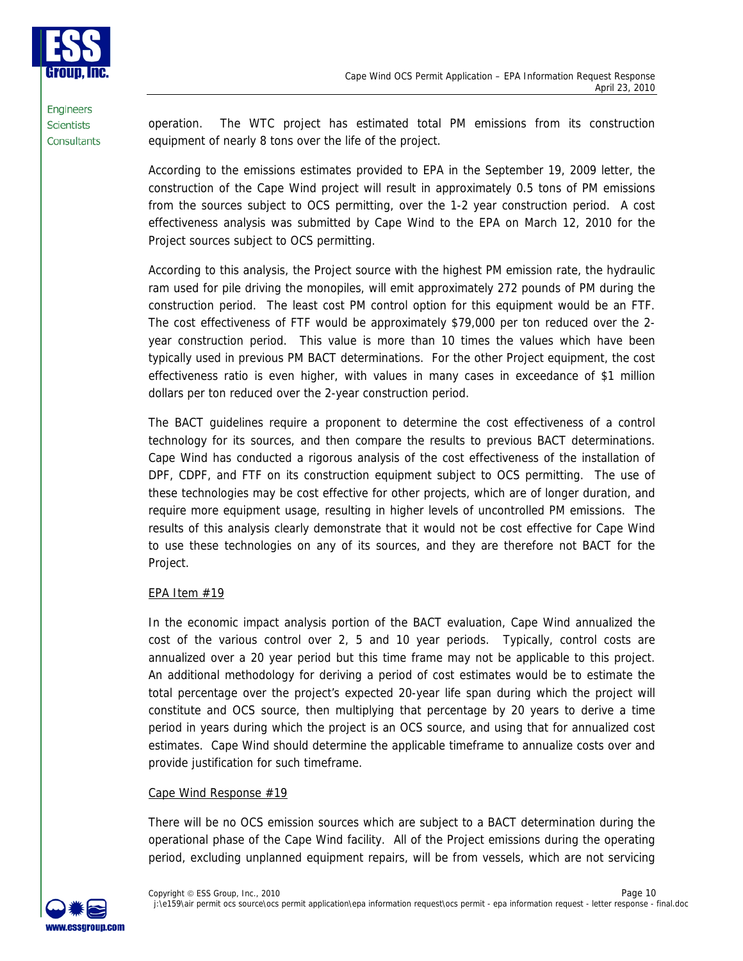

operation. The WTC project has estimated total PM emissions from its construction equipment of nearly 8 tons over the life of the project.

According to the emissions estimates provided to EPA in the September 19, 2009 letter, the construction of the Cape Wind project will result in approximately 0.5 tons of PM emissions from the sources subject to OCS permitting, over the 1-2 year construction period. A cost effectiveness analysis was submitted by Cape Wind to the EPA on March 12, 2010 for the Project sources subject to OCS permitting.

According to this analysis, the Project source with the highest PM emission rate, the hydraulic ram used for pile driving the monopiles, will emit approximately 272 pounds of PM during the construction period. The least cost PM control option for this equipment would be an FTF. The cost effectiveness of FTF would be approximately \$79,000 per ton reduced over the 2 year construction period. This value is more than 10 times the values which have been typically used in previous PM BACT determinations. For the other Project equipment, the cost effectiveness ratio is even higher, with values in many cases in exceedance of \$1 million dollars per ton reduced over the 2-year construction period.

The BACT guidelines require a proponent to determine the cost effectiveness of a control technology for its sources, and then compare the results to previous BACT determinations. Cape Wind has conducted a rigorous analysis of the cost effectiveness of the installation of DPF, CDPF, and FTF on its construction equipment subject to OCS permitting. The use of these technologies may be cost effective for other projects, which are of longer duration, and require more equipment usage, resulting in higher levels of uncontrolled PM emissions. The results of this analysis clearly demonstrate that it would not be cost effective for Cape Wind to use these technologies on any of its sources, and they are therefore not BACT for the Project.

## EPA Item #19

In the economic impact analysis portion of the BACT evaluation, Cape Wind annualized the cost of the various control over 2, 5 and 10 year periods. Typically, control costs are annualized over a 20 year period but this time frame may not be applicable to this project. An additional methodology for deriving a period of cost estimates would be to estimate the total percentage over the project's expected 20-year life span during which the project will constitute and OCS source, then multiplying that percentage by 20 years to derive a time period in years during which the project is an OCS source, and using that for annualized cost estimates. Cape Wind should determine the applicable timeframe to annualize costs over and provide justification for such timeframe.

## Cape Wind Response #19

There will be no OCS emission sources which are subject to a BACT determination during the operational phase of the Cape Wind facility. All of the Project emissions during the operating period, excluding unplanned equipment repairs, will be from vessels, which are not servicing

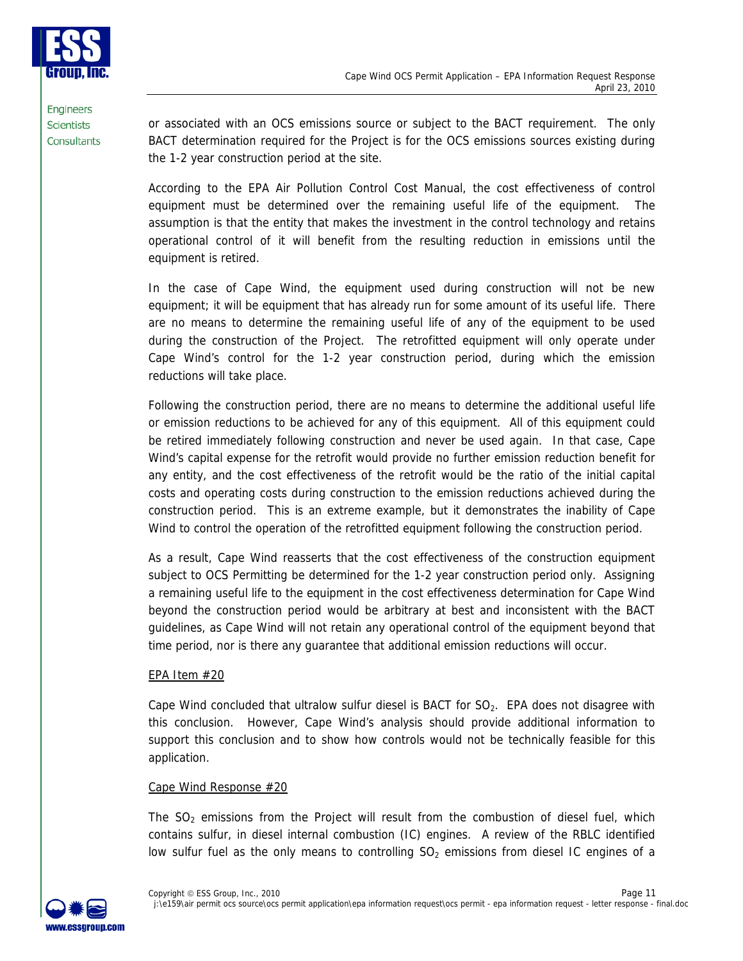

or associated with an OCS emissions source or subject to the BACT requirement. The only BACT determination required for the Project is for the OCS emissions sources existing during the 1-2 year construction period at the site.

According to the EPA Air Pollution Control Cost Manual, the cost effectiveness of control equipment must be determined over the remaining useful life of the equipment. The assumption is that the entity that makes the investment in the control technology and retains operational control of it will benefit from the resulting reduction in emissions until the equipment is retired.

In the case of Cape Wind, the equipment used during construction will not be new equipment; it will be equipment that has already run for some amount of its useful life. There are no means to determine the remaining useful life of any of the equipment to be used during the construction of the Project. The retrofitted equipment will only operate under Cape Wind's control for the 1-2 year construction period, during which the emission reductions will take place.

Following the construction period, there are no means to determine the additional useful life or emission reductions to be achieved for any of this equipment. All of this equipment could be retired immediately following construction and never be used again. In that case, Cape Wind's capital expense for the retrofit would provide no further emission reduction benefit for any entity, and the cost effectiveness of the retrofit would be the ratio of the initial capital costs and operating costs during construction to the emission reductions achieved during the construction period. This is an extreme example, but it demonstrates the inability of Cape Wind to control the operation of the retrofitted equipment following the construction period.

As a result, Cape Wind reasserts that the cost effectiveness of the construction equipment subject to OCS Permitting be determined for the 1-2 year construction period only. Assigning a remaining useful life to the equipment in the cost effectiveness determination for Cape Wind beyond the construction period would be arbitrary at best and inconsistent with the BACT guidelines, as Cape Wind will not retain any operational control of the equipment beyond that time period, nor is there any guarantee that additional emission reductions will occur.

## EPA Item #20

Cape Wind concluded that ultralow sulfur diesel is BACT for  $SO<sub>2</sub>$ . EPA does not disagree with this conclusion. However, Cape Wind's analysis should provide additional information to support this conclusion and to show how controls would not be technically feasible for this application.

## Cape Wind Response #20

The  $SO<sub>2</sub>$  emissions from the Project will result from the combustion of diesel fuel, which contains sulfur, in diesel internal combustion (IC) engines. A review of the RBLC identified low sulfur fuel as the only means to controlling  $SO<sub>2</sub>$  emissions from diesel IC engines of a

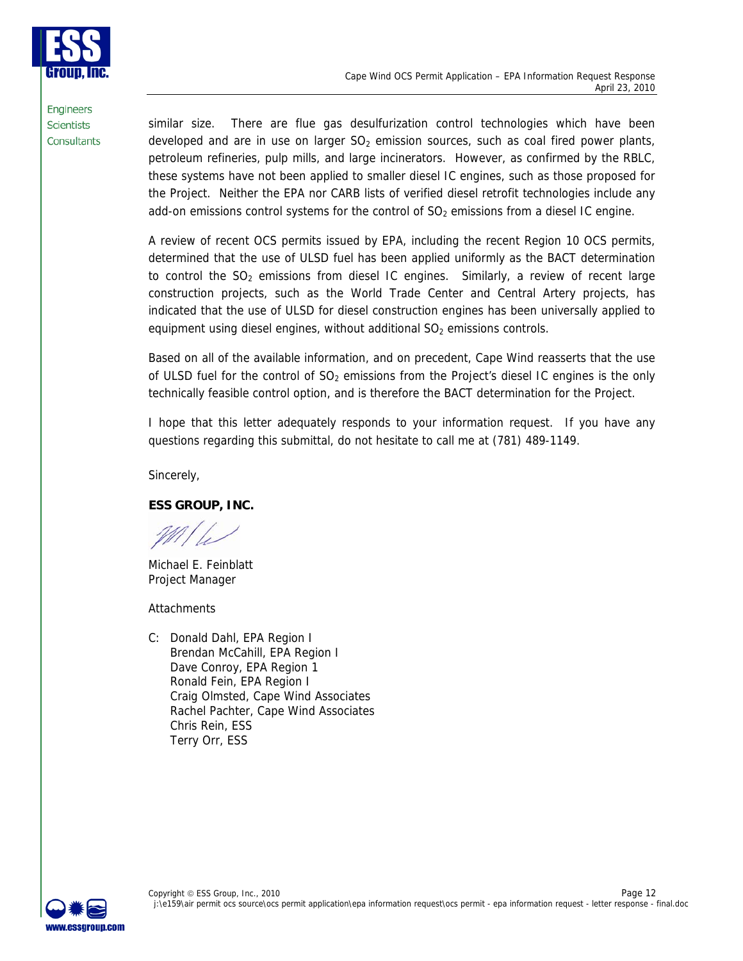

similar size. There are flue gas desulfurization control technologies which have been developed and are in use on larger  $SO<sub>2</sub>$  emission sources, such as coal fired power plants, petroleum refineries, pulp mills, and large incinerators. However, as confirmed by the RBLC, these systems have not been applied to smaller diesel IC engines, such as those proposed for the Project. Neither the EPA nor CARB lists of verified diesel retrofit technologies include any add-on emissions control systems for the control of  $SO<sub>2</sub>$  emissions from a diesel IC engine.

A review of recent OCS permits issued by EPA, including the recent Region 10 OCS permits, determined that the use of ULSD fuel has been applied uniformly as the BACT determination to control the  $SO<sub>2</sub>$  emissions from diesel IC engines. Similarly, a review of recent large construction projects, such as the World Trade Center and Central Artery projects, has indicated that the use of ULSD for diesel construction engines has been universally applied to equipment using diesel engines, without additional  $SO<sub>2</sub>$  emissions controls.

Based on all of the available information, and on precedent, Cape Wind reasserts that the use of ULSD fuel for the control of  $SO<sub>2</sub>$  emissions from the Project's diesel IC engines is the only technically feasible control option, and is therefore the BACT determination for the Project.

I hope that this letter adequately responds to your information request. If you have any questions regarding this submittal, do not hesitate to call me at (781) 489-1149.

Sincerely,

**ESS GROUP, INC.** 

Michael E. Feinblatt Project Manager

**Attachments** 

C: Donald Dahl, EPA Region I Brendan McCahill, EPA Region I Dave Conroy, EPA Region 1 Ronald Fein, EPA Region I Craig Olmsted, Cape Wind Associates Rachel Pachter, Cape Wind Associates Chris Rein, ESS Terry Orr, ESS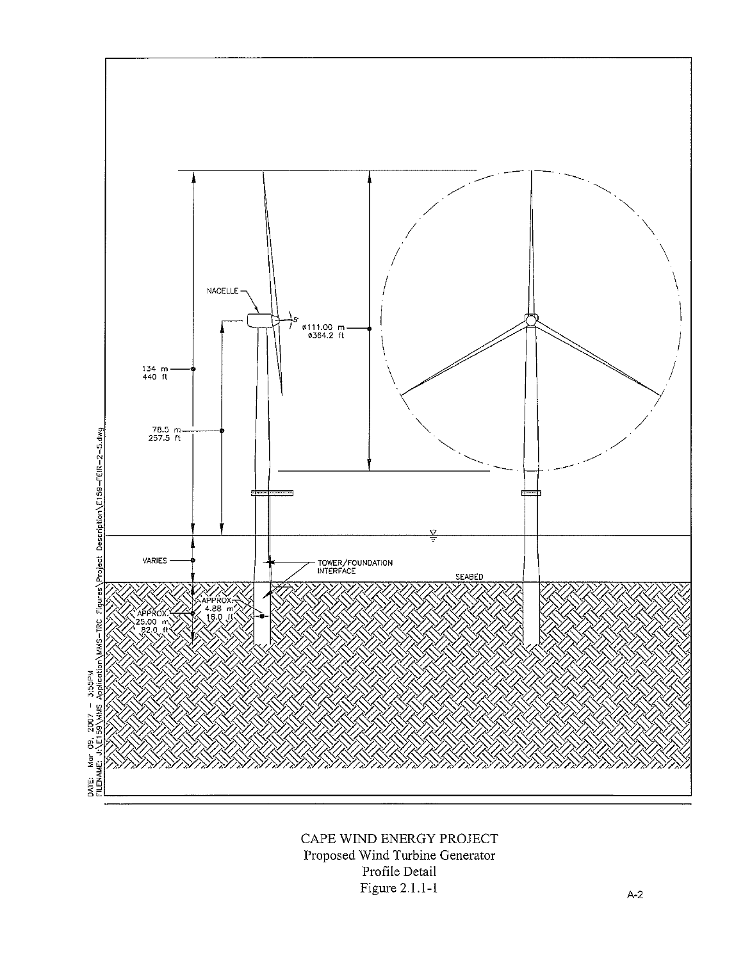

CAPE WIND ENERGY PROJECT Proposed Wind Turbine Generator Profile Detail Figure 2.1.1-1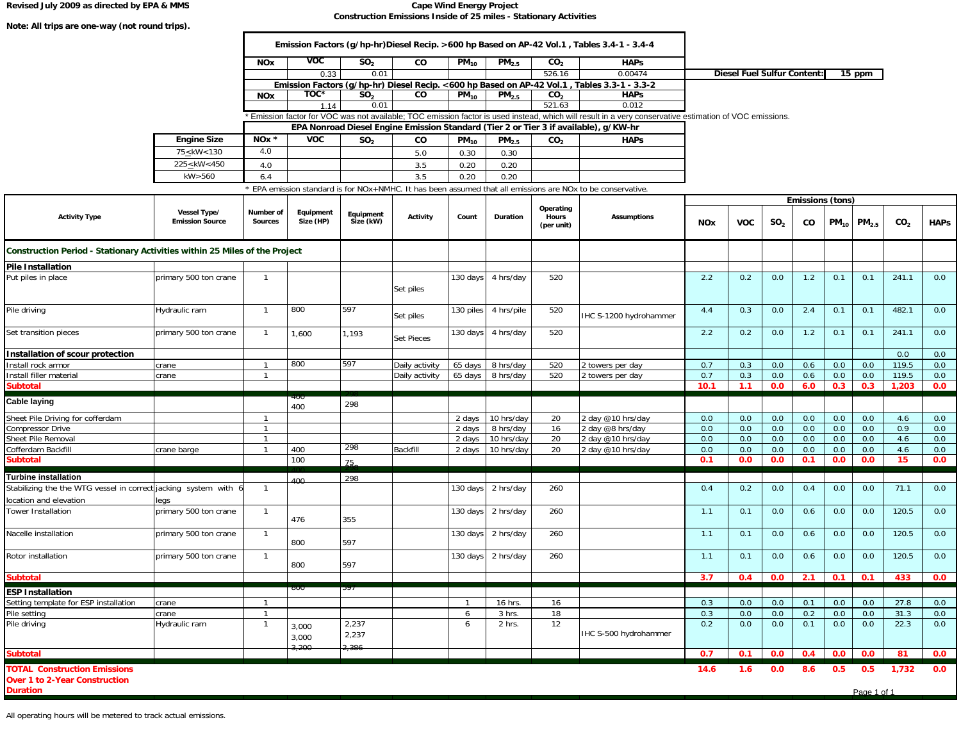**Note: All trips are one-way (not round trips).** 

#### **Revised July 2009 as directed by EPA & MMS Cape Wind Energy Project Construction Emissions Inside of 25 miles - Stationary Activities**

٦

|                                                                                                |                                        | <b>NOx</b>                  | $\overline{v}$         | SO <sub>2</sub>        | CO                |           |                    |                                  |                                                                                                                                                                                                                                               |            |                                    |                 |                        |           |                    |                 |             |
|------------------------------------------------------------------------------------------------|----------------------------------------|-----------------------------|------------------------|------------------------|-------------------|-----------|--------------------|----------------------------------|-----------------------------------------------------------------------------------------------------------------------------------------------------------------------------------------------------------------------------------------------|------------|------------------------------------|-----------------|------------------------|-----------|--------------------|-----------------|-------------|
|                                                                                                |                                        |                             |                        |                        |                   | $PM_{10}$ | PM <sub>2.5</sub>  | CO <sub>2</sub>                  | <b>HAPs</b>                                                                                                                                                                                                                                   |            |                                    |                 |                        |           |                    |                 |             |
|                                                                                                |                                        |                             | 0.33                   | 0.01                   |                   |           |                    | 526.16                           | 0.00474                                                                                                                                                                                                                                       |            | <b>Diesel Fuel Sulfur Content:</b> |                 |                        |           | $15$ ppm           |                 |             |
|                                                                                                |                                        |                             |                        |                        |                   |           |                    |                                  | Emission Factors (g/hp-hr) Diesel Recip. <600 hp Based on AP-42 Vol.1, Tables 3.3-1 - 3.3-2                                                                                                                                                   |            |                                    |                 |                        |           |                    |                 |             |
|                                                                                                |                                        | <b>NOx</b>                  | TOC*                   | SO <sub>2</sub>        | co                | $PM_{10}$ | PM <sub>2.5</sub>  | CO <sub>2</sub>                  | <b>HAPS</b>                                                                                                                                                                                                                                   |            |                                    |                 |                        |           |                    |                 |             |
|                                                                                                |                                        |                             | 1.14                   | 0.01                   |                   |           |                    | 521.63                           | 0.012                                                                                                                                                                                                                                         |            |                                    |                 |                        |           |                    |                 |             |
|                                                                                                |                                        |                             |                        |                        |                   |           |                    |                                  | Emission factor for VOC was not available; TOC emission factor is used instead, which will result in a very conservative estimation of VOC emissions.<br>EPA Nonroad Diesel Engine Emission Standard (Tier 2 or Tier 3 if available), g/KW-hr |            |                                    |                 |                        |           |                    |                 |             |
|                                                                                                |                                        | NO <sub>x</sub>             |                        |                        |                   |           |                    |                                  |                                                                                                                                                                                                                                               |            |                                    |                 |                        |           |                    |                 |             |
|                                                                                                | <b>Engine Size</b>                     |                             | <b>VOC</b>             | SO <sub>2</sub>        | CO                | $PM_{10}$ | PM <sub>2.5</sub>  | CO <sub>2</sub>                  | <b>HAPs</b>                                                                                                                                                                                                                                   |            |                                    |                 |                        |           |                    |                 |             |
|                                                                                                | 75 < kW < 130                          | 4.0                         |                        |                        | 5.0               | 0.30      | 0.30               |                                  |                                                                                                                                                                                                                                               |            |                                    |                 |                        |           |                    |                 |             |
|                                                                                                | 225 <<br>kW<450                        | 4.0                         |                        |                        | 3.5               | 0.20      | 0.20               |                                  |                                                                                                                                                                                                                                               |            |                                    |                 |                        |           |                    |                 |             |
|                                                                                                | kW>560                                 | 6.4                         |                        |                        | 3.5               | 0.20      | 0.20               |                                  |                                                                                                                                                                                                                                               |            |                                    |                 |                        |           |                    |                 |             |
|                                                                                                |                                        |                             |                        |                        |                   |           |                    |                                  | EPA emission standard is for NOx+NMHC. It has been assumed that all emissions are NOx to be conservative.                                                                                                                                     |            |                                    |                 |                        |           |                    |                 |             |
| <b>Activity Type</b>                                                                           | Vessel Type/<br><b>Emission Source</b> | Number of<br><b>Sources</b> | Equipment<br>Size (HP) | Equipment<br>Size (kW) | Activity          | Count     | Duration           | Operating<br>Hours<br>(per unit) | <b>Assumptions</b>                                                                                                                                                                                                                            | <b>NOx</b> | <b>VOC</b>                         | SO <sub>2</sub> | Emissions (tons)<br>CO | $PM_{10}$ | PM <sub>2.5</sub>  | CO <sub>2</sub> | <b>HAPs</b> |
| Construction Period - Stationary Activities within 25 Miles of the Project                     |                                        |                             |                        |                        |                   |           |                    |                                  |                                                                                                                                                                                                                                               |            |                                    |                 |                        |           |                    |                 |             |
| <b>Pile Installation</b>                                                                       |                                        |                             |                        |                        |                   |           |                    |                                  |                                                                                                                                                                                                                                               |            |                                    |                 |                        |           |                    |                 |             |
| Put piles in place                                                                             | primary 500 ton crane                  | $\overline{1}$              |                        |                        | Set piles         | 130 days  | 4 hrs/day          | 520                              |                                                                                                                                                                                                                                               | 2.2        | 0.2                                | 0.0             | 1.2                    | 0.1       | 0.1                | 241.1           | 0.0         |
| Pile driving                                                                                   | Hydraulic ram                          | $\overline{1}$              | 800                    | 597                    | Set piles         | 130 piles | 4 hrs/pile         | 520                              | IHC S-1200 hydrohammer                                                                                                                                                                                                                        | 4.4        | 0.3                                | 0.0             | 2.4                    | 0.1       | 0.1                | 482.1           | 0.0         |
| Set transition pieces                                                                          | primary 500 ton crane                  | $\overline{1}$              | 1,600                  | 1,193                  | <b>Set Pieces</b> | 130 days  | 4 hrs/day          | 520                              |                                                                                                                                                                                                                                               | 2.2        | 0.2                                | 0.0             | 1.2                    | 0.1       | 0.1                | 241.1           | 0.0         |
| Installation of scour protection                                                               |                                        |                             |                        |                        |                   |           |                    |                                  |                                                                                                                                                                                                                                               |            |                                    |                 |                        |           |                    | 0.0             | 0.0         |
| Install rock armor                                                                             | crane                                  | $\overline{1}$              | 800                    | 597                    | Daily activity    | 65 days   | 8 hrs/day          | 520                              | 2 towers per day                                                                                                                                                                                                                              | 0.7        | 0.3                                | 0.0             | 0.6                    | 0.0       | 0.0                | 119.5           | 0.0         |
| Install filler material                                                                        | crane                                  | $\overline{1}$              |                        |                        | Daily activity    | 65 days   | 8 hrs/day          | 520                              | 2 towers per day                                                                                                                                                                                                                              | 0.7        | 0.3                                | 0.0             | 0.6                    | 0.0       | 0.0                | 119.5           | 0.0         |
| <b>Subtotal</b>                                                                                |                                        |                             |                        |                        |                   |           |                    |                                  |                                                                                                                                                                                                                                               | 10.1       | 1.1                                | 0.0             | 6.0                    | 0.3       | 0.3                | 1,203           | 0.0         |
| <b>Cable laying</b>                                                                            |                                        |                             | ᡃᠯᡦᡦ<br>400            | 298                    |                   |           |                    |                                  |                                                                                                                                                                                                                                               |            |                                    |                 |                        |           |                    |                 |             |
| Sheet Pile Driving for cofferdam                                                               |                                        | $\mathbf 1$                 |                        |                        |                   | 2 days    | 10 hrs/day         | 20                               | 2 day @10 hrs/day                                                                                                                                                                                                                             | 0.0        | 0.0                                | 0.0             | 0.0                    | 0.0       | 0.0                | 4.6             | 0.0         |
| Compressor Drive                                                                               |                                        |                             |                        |                        |                   | 2 days    | 8 hrs/day          | 16                               | 2 day @8 hrs/day                                                                                                                                                                                                                              | 0.0        | 0.0                                | 0.0             | 0.0                    | 0.0       | 0.0                | 0.9             | 0.0         |
| Sheet Pile Removal                                                                             |                                        |                             |                        |                        |                   | 2 days    | 10 hrs/day         | 20                               | 2 day @10 hrs/day                                                                                                                                                                                                                             | 0.0        | 0.0                                | 0.0             | 0.0                    | 0.0       | 0.0                | 4.6             | 0.0         |
| Cofferdam Backfill                                                                             | crane barge                            |                             | 400                    | -298                   | Backfill          | 2 days    | 10 hrs/day         | 20                               | 2 day @10 hrs/day                                                                                                                                                                                                                             | 0.0        | 0.0                                | 0.0             | 0.0                    | 0.0       | 0.0                | 4.6             | 0.0         |
| <b>Subtotal</b>                                                                                |                                        |                             | 100                    | 75.                    |                   |           |                    |                                  |                                                                                                                                                                                                                                               | 0.1        | 0.0                                | 0.0             | 0.1                    | 0.0       | 0.0                | 15              | 0.0         |
|                                                                                                |                                        |                             |                        |                        |                   |           |                    |                                  |                                                                                                                                                                                                                                               |            |                                    |                 |                        |           |                    |                 |             |
| <b>Turbine installation</b><br>Stabilizing the the WTG vessel in correct jacking system with 6 |                                        | $\overline{1}$              | 400                    | 298                    |                   | 130 days  | 2 hrs/day          | 260                              |                                                                                                                                                                                                                                               | 0.4        | 0.2                                | 0.0             | 0.4                    | 0.0       | 0.0                | 71.1            | 0.0         |
|                                                                                                |                                        |                             |                        |                        |                   |           |                    |                                  |                                                                                                                                                                                                                                               |            |                                    |                 |                        |           |                    |                 |             |
| location and elevation<br>Tower Installation                                                   | legs<br>primary 500 ton crane          | $\overline{1}$              | 476                    | 355                    |                   | 130 days  | 2 hrs/day          | 260                              |                                                                                                                                                                                                                                               | 1.1        | 0.1                                | 0.0             | 0.6                    | 0.0       | 0.0                | 120.5           | 0.0         |
| Nacelle installation                                                                           | primary 500 ton crane                  | $\overline{1}$              | 800                    | 597                    |                   | 130 days  | 2 hrs/day          | 260                              |                                                                                                                                                                                                                                               | 1.1        | 0.1                                | 0.0             | 0.6                    | 0.0       | 0.0                | 120.5           | 0.0         |
| Rotor installation                                                                             | primary 500 ton crane                  | $\overline{1}$              | 800                    | 597                    |                   |           | 130 days 2 hrs/day | 260                              |                                                                                                                                                                                                                                               | 1.1        | 0.1                                | 0.0             | 0.6                    | 0.0       | 0.0                | 120.5           | 0.0         |
| <b>Subtotal</b>                                                                                |                                        |                             |                        |                        |                   |           |                    |                                  |                                                                                                                                                                                                                                               | 3.7        | 0.4                                | 0.0             | 2.1                    | 0.1       | 0.1                | 433             | 0.0         |
| <b>ESP Installation</b>                                                                        |                                        |                             | 000                    |                        |                   |           |                    |                                  |                                                                                                                                                                                                                                               |            |                                    |                 |                        |           |                    |                 |             |
| Setting template for ESP installation                                                          | crane                                  |                             |                        |                        |                   |           | 16 hrs.            | 16                               |                                                                                                                                                                                                                                               | 0.3        | 0.0                                | 0.0             | 0.1                    | 0.0       | 0.0                | 27.8            | 0.0         |
| Pile setting                                                                                   | crane                                  | $\overline{1}$              |                        |                        |                   | 6         | 3 hrs.             | 18                               |                                                                                                                                                                                                                                               | 0.3        | 0.0                                | 0.0             | 0.2                    | 0.0       | 0.0                | 31.3            | 0.0         |
| Pile driving                                                                                   | Hydraulic ram                          | $\overline{1}$              | 3,000<br>3,000         | 2,237<br>2,237         |                   | 6         | 2 hrs.             | 12                               | IHC S-500 hydrohammer                                                                                                                                                                                                                         | 0.2        | 0.0                                | 0.0             | 0.1                    | 0.0       | 0.0                | 22.3            | 0.0         |
| <b>Subtotal</b>                                                                                |                                        |                             | 3,200                  | 2,386                  |                   |           |                    |                                  |                                                                                                                                                                                                                                               | 0.7        | 0.1                                | 0.0             | 0.4                    | 0.0       | 0.0                | 81              | 0.0         |
| <b>TOTAL Construction Emissions</b><br><b>Over 1 to 2-Year Construction</b><br><b>Duration</b> |                                        |                             |                        |                        |                   |           |                    |                                  |                                                                                                                                                                                                                                               | 14.6       | 1.6                                | 0.0             | 8.6                    | 0.5       | 0.5<br>Page 1 of 1 | 1,732           | 0.0         |